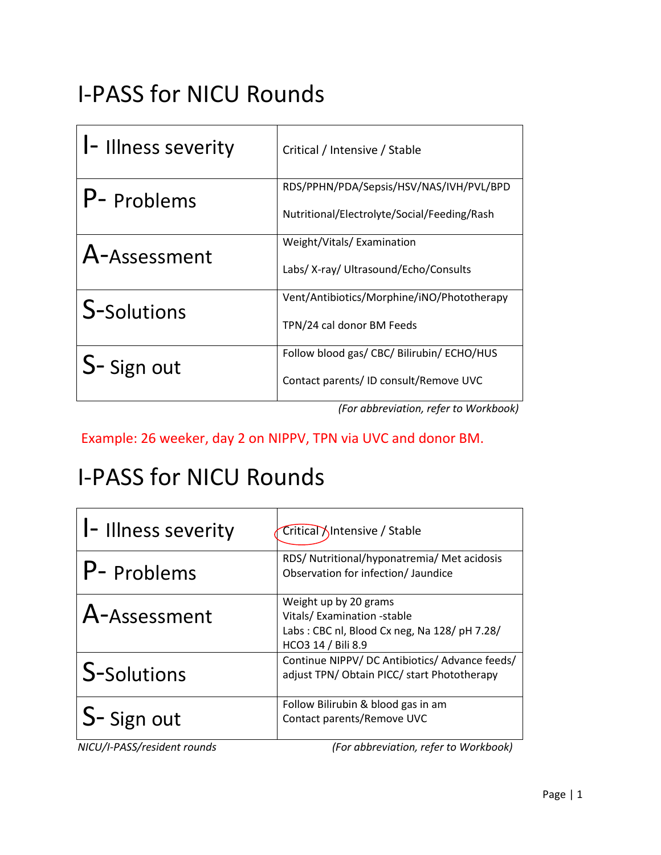# I-PASS for NICU Rounds

| I- Illness severity | Critical / Intensive / Stable                                                          |
|---------------------|----------------------------------------------------------------------------------------|
| P- Problems         | RDS/PPHN/PDA/Sepsis/HSV/NAS/IVH/PVL/BPD<br>Nutritional/Electrolyte/Social/Feeding/Rash |
| A-Assessment        | Weight/Vitals/Examination<br>Labs/ X-ray/ Ultrasound/Echo/Consults                     |
| S-Solutions         | Vent/Antibiotics/Morphine/iNO/Phototherapy<br>TPN/24 cal donor BM Feeds                |
| S-Sign out          | Follow blood gas/ CBC/ Bilirubin/ ECHO/HUS<br>Contact parents/ ID consult/Remove UVC   |

 *(For abbreviation, refer to Workbook)*

Example: 26 weeker, day 2 on NIPPV, TPN via UVC and donor BM.

### I-PASS for NICU Rounds

| <b>I-Illness severity</b> | Critical Intensive / Stable                                                                                               |
|---------------------------|---------------------------------------------------------------------------------------------------------------------------|
| P- Problems               | RDS/ Nutritional/hyponatremia/ Met acidosis<br>Observation for infection/ Jaundice                                        |
| A-Assessment              | Weight up by 20 grams<br>Vitals/Examination -stable<br>Labs: CBC nl, Blood Cx neg, Na 128/ pH 7.28/<br>HCO3 14 / Bili 8.9 |
| S-Solutions               | Continue NIPPV/DC Antibiotics/ Advance feeds/<br>adjust TPN/ Obtain PICC/ start Phototherapy                              |
| S-Sign out                | Follow Bilirubin & blood gas in am<br>Contact parents/Remove UVC                                                          |

*NICU/I-PASS/resident rounds (For abbreviation, refer to Workbook)*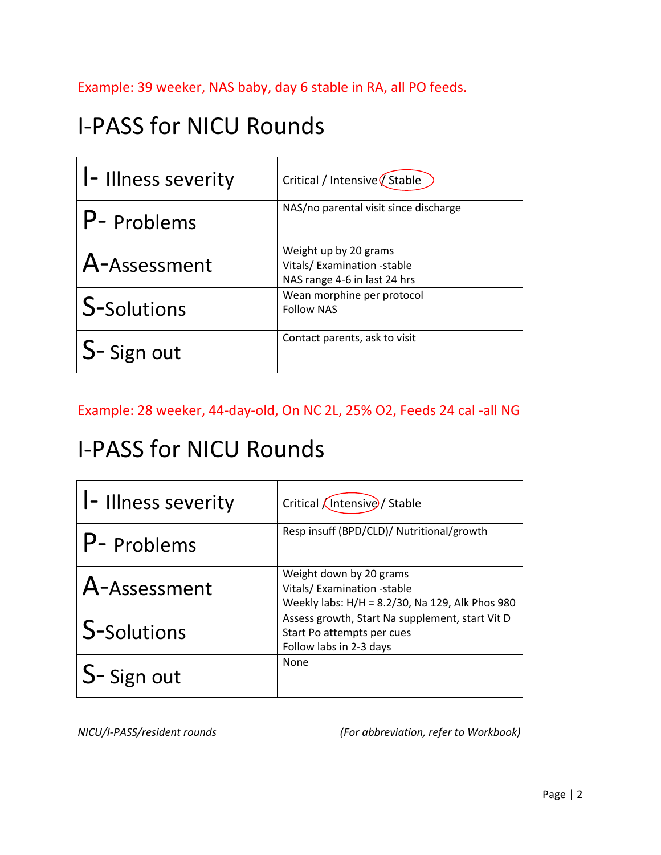Example: 39 weeker, NAS baby, day 6 stable in RA, all PO feeds.

# I-PASS for NICU Rounds

| <b>I-Illness severity</b> | Critical / Intensive $\oint$ Stable                                                 |
|---------------------------|-------------------------------------------------------------------------------------|
| P- Problems               | NAS/no parental visit since discharge                                               |
| A-Assessment              | Weight up by 20 grams<br>Vitals/Examination -stable<br>NAS range 4-6 in last 24 hrs |
| <b>S-Solutions</b>        | Wean morphine per protocol<br><b>Follow NAS</b>                                     |
| S-Sign out                | Contact parents, ask to visit                                                       |

Example: 28 weeker, 44-day-old, On NC 2L, 25% O2, Feeds 24 cal -all NG

#### I-PASS for NICU Rounds

| I-Illness severity | Critical <i>(Intensive)</i> / Stable                                                                     |
|--------------------|----------------------------------------------------------------------------------------------------------|
| P- Problems        | Resp insuff (BPD/CLD)/ Nutritional/growth                                                                |
| A-Assessment       | Weight down by 20 grams<br>Vitals/Examination -stable<br>Weekly labs: H/H = 8.2/30, Na 129, Alk Phos 980 |
| S-Solutions        | Assess growth, Start Na supplement, start Vit D<br>Start Po attempts per cues<br>Follow labs in 2-3 days |
| S-Sign out         | None                                                                                                     |

*NICU/I-PASS/resident rounds (For abbreviation, refer to Workbook)*